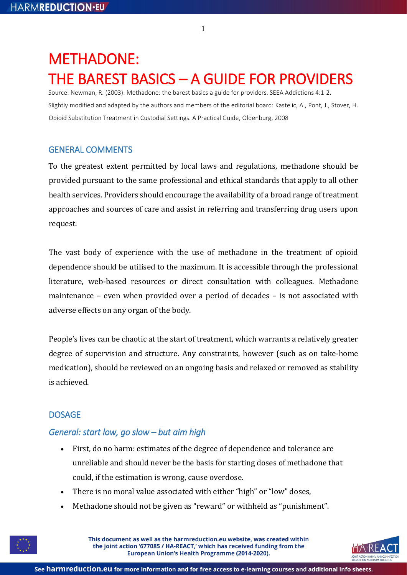# METHADONE: THE BAREST BASICS – A GUIDE FOR PROVIDERS

Source: Newman, R. (2003). Methadone: the barest basics a guide for providers. SEEA Addictions 4:1-2. Slightly modified and adapted by the authors and members of the editorial board: Kastelic, A., Pont, J., Stover, H. Opioid Substitution Treatment in Custodial Settings. A Practical Guide, Oldenburg, 2008

# GENERAL COMMENTS

To the greatest extent permitted by local laws and regulations, methadone should be provided pursuant to the same professional and ethical standards that apply to all other health services. Providers should encourage the availability of a broad range of treatment approaches and sources of care and assist in referring and transferring drug users upon request.

The vast body of experience with the use of methadone in the treatment of opioid dependence should be utilised to the maximum. It is accessible through the professional literature, web-based resources or direct consultation with colleagues. Methadone maintenance – even when provided over a period of decades – is not associated with adverse effects on any organ of the body.

People's lives can be chaotic at the start of treatment, which warrants a relatively greater degree of supervision and structure. Any constraints, however (such as on take-home medication), should be reviewed on an ongoing basis and relaxed or removed as stability is achieved.

# DOSAGE

# *General: start low, go slow – but aim high*

- First, do no harm: estimates of the degree of dependence and tolerance are unreliable and should never be the basis for starting doses of methadone that could, if the estimation is wrong, cause overdose.
- There is no moral value associated with either "high" or "low" doses,
- Methadone should not be given as "reward" or withheld as "punishment".



This document as well as the harmreduction.eu website, was created within the joint action '677085 / HA-REACT,' which has received funding from the European Union's Health Programme (2014-2020).



1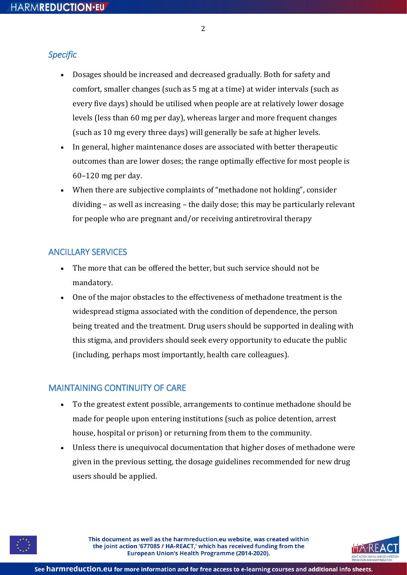#### 2

#### *Specific*

- Dosages should be increased and decreased gradually. Both for safety and comfort, smaller changes (such as 5 mg at a time) at wider intervals (such as every five days) should be utilised when people are at relatively lower dosage levels (less than 60 mg per day), whereas larger and more frequent changes (such as 10 mg every three days) will generally be safe at higher levels.
- In general, higher maintenance doses are associated with better therapeutic outcomes than are lower doses; the range optimally effective for most people is 60–120 mg per day.
- When there are subjective complaints of "methadone not holding", consider dividing – as well as increasing – the daily dose; this may be particularly relevant for people who are pregnant and/or receiving antiretroviral therapy

#### ANCILLARY SERVICES

- The more that can be offered the better, but such service should not be mandatory.
- One of the major obstacles to the effectiveness of methadone treatment is the widespread stigma associated with the condition of dependence, the person being treated and the treatment. Drug users should be supported in dealing with this stigma, and providers should seek every opportunity to educate the public (including, perhaps most importantly, health care colleagues).

### MAINTAINING CONTINUITY OF CARE

- To the greatest extent possible, arrangements to continue methadone should be made for people upon entering institutions (such as police detention, arrest house, hospital or prison) or returning from them to the community.
- Unless there is unequivocal documentation that higher doses of methadone were given in the previous setting, the dosage guidelines recommended for new drug users should be applied.



This document as well as the harmreduction.eu website, was created within the joint action '677085 / HA-REACT,' which has received funding from the European Union's Health Programme (2014-2020).